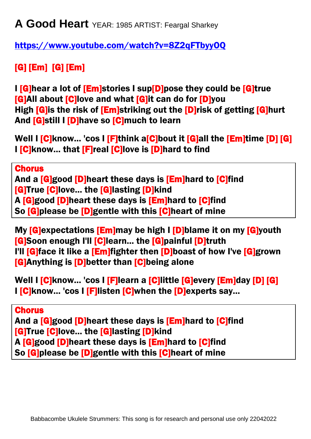**A Good Heart** YEAR: 1985 ARTIST: Feargal Sharkey

<https://www.youtube.com/watch?v=8Z2qFTbyyOQ>

## [G] [Em] [G] [Em]

I **G**]hear a lot of **[Em]**stories I sup**[D]**pose they could be **[G]**true **[G]All about [C]love and what [G]it can do for [D]you** High [G]is the risk of [Em]striking out the [D]risk of getting [G]hurt And [G]still I [D]have so [C]much to learn

Well I **[C**]know... 'cos I **[F**]think a**[C**]bout it **[G]all the <b>[Em]time** [D] [G] I [C]know... that [F]real [C]love is [D]hard to find

**Chorus** And a **[G]good [D]**heart these days is **[Em]**hard to **[C]**find [G]True [C]love... the [G]lasting [D]kind A [G]good [D]heart these days is [Em]hard to [C]find So [G]please be [D]gentle with this [C]heart of mine

My **[G]**expectations **[Em]**may be high I **[D]**blame it on my **[G]**youth [G]Soon enough I'll [C]learn... the [G]painful [D]truth I'll [G]face it like a [Em]fighter then [D]boast of how I've [G]grown [G]Anything is [D]better than [C]being alone

Well I [C]know... 'cos I [F]learn a [C]little [G]every [Em]day [D] [G] I [C]know... 'cos I [F]listen [C]when the [D]experts say...

### **Chorus**

And a [G]good [D]heart these days is [Em]hard to [C]find **[G]True [C]love... the [G]lasting [D]kind** A [G]good [D]heart these days is [Em]hard to [C]find So [G]please be [D]gentle with this [C]heart of mine